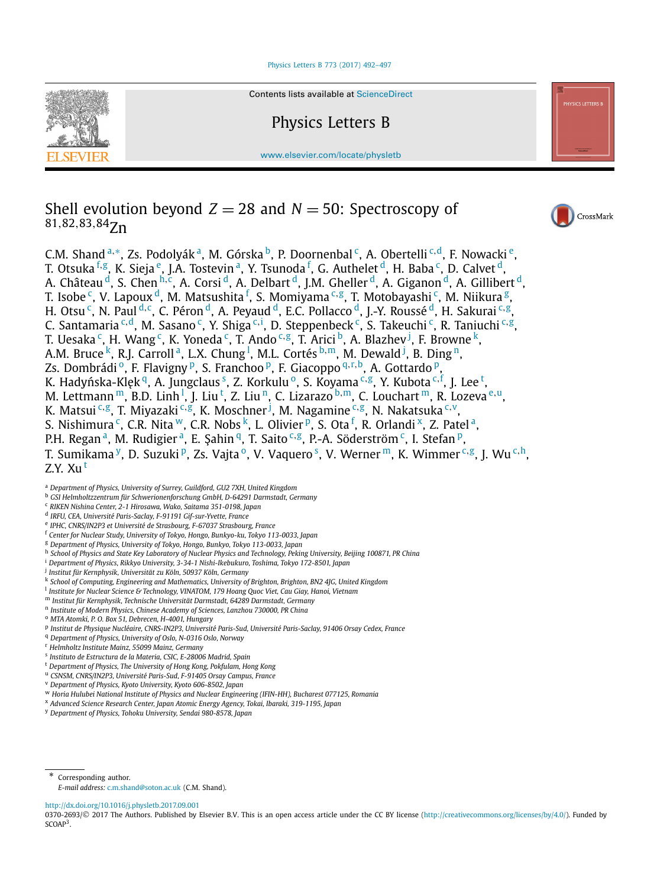#### [Physics Letters B 773 \(2017\) 492–497](http://dx.doi.org/10.1016/j.physletb.2017.09.001)



Contents lists available at [ScienceDirect](http://www.ScienceDirect.com/)

Physics Letters B

[www.elsevier.com/locate/physletb](http://www.elsevier.com/locate/physletb)

# Shell evolution beyond  $Z = 28$  and  $N = 50$ : Spectroscopy of <sup>81</sup>*,*82*,*83*,*84Zn

C.M. Shand <sup>a,∗</sup>, Zs. Podolyák <sup>a</sup>, M. Górska <sup>b</sup>, P. Doornenbal <sup>c</sup>, A. Obertelli <sup>c,d</sup>, F. Nowacki <sup>e</sup>, T. Otsuka <sup>f,g</sup>, K. Sieja <sup>e</sup>, J.A. Tostevin <sup>a</sup>, Y. Tsunoda <sup>f</sup>, G. Authelet <sup>d</sup>, H. Baba <sup>c</sup>, D. Calvet <sup>d</sup>, A. Château <sup>d</sup>, S. Chen <sup>h,c</sup>, A. Corsi <sup>d</sup>, A. Delbart <sup>d</sup>, J.M. Gheller <sup>d</sup>, A. Giganon <sup>d</sup>, A. Gillibert <sup>d</sup>, T. Isobe <sup>c</sup>, V. Lapoux <sup>d</sup>, M. Matsushita <sup>f</sup>, S. Momiyama <sup>c,g</sup>, T. Motobayashi <sup>c</sup>, M. Niikura <sup>g</sup>, H. Otsu <sup>c</sup>, N. Paul <sup>d, c</sup>, C. Péron <sup>d</sup>, A. Peyaud <sup>d</sup>, E.C. Pollacco <sup>d</sup>, J.-Y. Roussé <sup>d</sup>, H. Sakurai <sup>c,g</sup>, C. Santamaria <sup>c,d</sup>, M. Sasano <sup>c</sup>, Y. Shiga <sup>c,i</sup>, D. Steppenbeck <sup>c</sup>, S. Takeuchi <sup>c</sup>, R. Taniuchi <sup>c,g</sup>, T. Uesaka <sup>c</sup>, H. Wang <sup>c</sup>, K. Yoneda <sup>c</sup>, T. Ando <sup>c,g</sup>, T. Arici <sup>b</sup>, A. Blazhev <sup>j</sup>, F. Browne <sup>k</sup>, A.M. Bruce <sup>k</sup>, R.J. Carroll <sup>a</sup>, L.X. Chung <sup>l</sup>, M.L. Cortés <sup>b,m</sup>, M. Dewald <sup>j</sup>, B. Ding <sup>n</sup>, Zs. Dombrádi<sup>o</sup>, F. Flavigny<sup>p</sup>, S. Franchoo<sup>p</sup>, F. Giacoppo<sup>q,r,b</sup>, A. Gottardo<sup>p</sup>, K. Hadyńska-Klęk <sup>q</sup>, A. Jungclaus <sup>s</sup>, Z. Korkulu <sup>o</sup>, S. Koyama <sup>c,g</sup>, Y. Kubota <sup>c, f</sup>, J. Lee <sup>t</sup>, M. Lettmann <sup>m</sup>, B.D. Linh <sup>I</sup>, J. Liu <sup>t</sup>, Z. Liu <sup>n</sup>, C. Lizarazo <sup>b,m</sup>, C. Louchart <sup>m</sup>, R. Lozeva <sup>e,u</sup>, K. Matsui <sup>c</sup>*,*g, T. Miyazaki <sup>c</sup>*,*g, K. Moschner <sup>j</sup> , M. Nagamine <sup>c</sup>*,*g, N. Nakatsuka <sup>c</sup>*,*v, S. Nishimura  $\degree$ , C.R. Nita  $\degree'$ , C.R. Nobs  $\degree'$ , L. Olivier  $\degree$ , S. Ota  $\degree$ , R. Orlandi  $\degree$ , Z. Patel  $\degree$ , P.H. Regan<sup>a</sup>, M. Rudigier<sup>a</sup>, E. Şahin<sup>q</sup>, T. Saito<sup>c,g</sup>, P.-A. Söderström<sup>c</sup>, I. Stefan<sup>p</sup>, T. Sumikama <sup>y</sup>, D. Suzuki <sup>p</sup>, Zs. Vajta <sup>o</sup>, V. Vaquero <sup>s</sup>, V. Werner <sup>m</sup>, K. Wimmer <sup>c,g</sup>, J. Wu <sup>c,h</sup>,  $Z.Y. Xu<sup>t</sup>$ 

- <sup>b</sup> *GSI Helmholtzzentrum für Schwerionenforschung GmbH, D-64291 Darmstadt, Germany*
- <sup>c</sup> *RIKEN Nishina Center, 2-1 Hirosawa, Wako, Saitama 351-0198, Japan*
- <sup>d</sup> *IRFU, CEA, Université Paris-Saclay, F-91191 Gif-sur-Yvette, France*
- <sup>e</sup> *IPHC, CNRS/IN2P3 et Université de Strasbourg, F-67037 Strasbourg, France*
- <sup>f</sup> *Center for Nuclear Study, University of Tokyo, Hongo, Bunkyo-ku, Tokyo 113-0033, Japan*
- <sup>g</sup> *Department of Physics, University of Tokyo, Hongo, Bunkyo, Tokyo 113-0033, Japan*
- h School of Physics and State Key Laboratory of Nuclear Physics and Technology, Peking University, Beijing 100871, PR China
- <sup>i</sup> *Department of Physics, Rikkyo University, 3-34-1 Nishi-Ikebukuro, Toshima, Tokyo 172-8501, Japan*
- <sup>j</sup> *Institut für Kernphysik, Universität zu Köln, 50937 Köln, Germany*
- <sup>k</sup> *School of Computing, Engineering and Mathematics, University of Brighton, Brighton, BN2 4JG, United Kingdom*
- <sup>l</sup> *Institute for Nuclear Science & Technology, VINATOM, 179 Hoang Quoc Viet, Cau Giay, Hanoi, Vietnam*
- <sup>m</sup> *Institut für Kernphysik, Technische Universität Darmstadt, 64289 Darmstadt, Germany*
- <sup>n</sup> *Institute of Modern Physics, Chinese Academy of Sciences, Lanzhou 730000, PR China*
- <sup>o</sup> *MTA Atomki, P. O. Box 51, Debrecen, H-4001, Hungary*
- <sup>p</sup> *Institut de Physique Nucléaire, CNRS-IN2P3, Université Paris-Sud, Université Paris-Saclay, 91406 Orsay Cedex, France*
- <sup>q</sup> *Department of Physics, University of Oslo, N-0316 Oslo, Norway*
- <sup>r</sup> *Helmholtz Institute Mainz, 55099 Mainz, Germany*
- <sup>s</sup> *Instituto de Estructura de la Materia, CSIC, E-28006 Madrid, Spain*
- <sup>t</sup> *Department of Physics, The University of Hong Kong, Pokfulam, Hong Kong*
- <sup>u</sup> *CSNSM, CNRS/IN2P3, Université Paris-Sud, F-91405 Orsay Campus, France*
- <sup>v</sup> *Department of Physics, Kyoto University, Kyoto 606-8502, Japan*
- <sup>w</sup> *Horia Hulubei National Institute of Physics and Nuclear Engineering (IFIN-HH), Bucharest 077125, Romania*
- <sup>x</sup> *Advanced Science Research Center, Japan Atomic Energy Agency, Tokai, Ibaraki, 319-1195, Japan*
- <sup>y</sup> *Department of Physics, Tohoku University, Sendai 980-8578, Japan*

\* Corresponding author.

#### <http://dx.doi.org/10.1016/j.physletb.2017.09.001>

0370-2693/© 2017 The Authors. Published by Elsevier B.V. This is an open access article under the CC BY license [\(http://creativecommons.org/licenses/by/4.0/\)](http://creativecommons.org/licenses/by/4.0/). Funded by SCOAP<sup>3</sup>.



<sup>a</sup> *Department of Physics, University of Surrey, Guildford, GU2 7XH, United Kingdom*

*E-mail address:* [c.m.shand@soton.ac.uk](mailto:c.m.shand@soton.ac.uk) (C.M. Shand).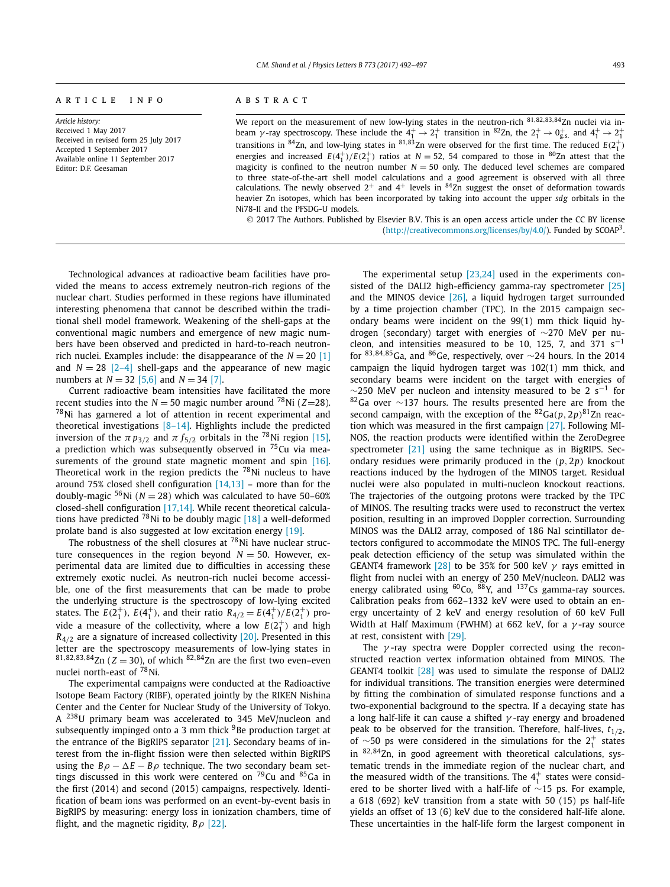#### A R T I C L E I N F O A B S T R A C T

*Article history:* Received 1 May 2017 Received in revised form 25 July 2017 Accepted 1 September 2017 Available online 11 September 2017 Editor: D.F. Geesaman

We report on the measurement of new low-lying states in the neutron-rich  $\overline{\frac{81,82,83,84}{2n}}$  nuclei via inbeam  $\gamma$ -ray spectroscopy. These include the  $4^+_1 \to 2^+_1$  transition in <sup>82</sup>Zn, the  $2^+_1 \to 0^+_{g.s.}$  and  $4^+_1 \to 2^+_1$ transitions in <sup>84</sup>Zn, and low-lying states in <sup>81,83</sup>Zn were observed for the first time. The reduced  $E(2^+_1)$ energies and increased  $E(4_1^+)/E(2_1^+)$  ratios at  $N = 52$ , 54 compared to those in <sup>80</sup>Zn attest that the magicity is confined to the neutron number  $N = 50$  only. The deduced level schemes are compared to three state-of-the-art shell model calculations and a good agreement is observed with all three calculations. The newly observed  $2^+$  and  $4^+$  levels in  $84$ Zn suggest the onset of deformation towards heavier Zn isotopes, which has been incorporated by taking into account the upper *sdg* orbitals in the Ni78-II and the PFSDG-U models.

© 2017 The Authors. Published by Elsevier B.V. This is an open access article under the CC BY license [\(http://creativecommons.org/licenses/by/4.0/\)](http://creativecommons.org/licenses/by/4.0/). Funded by SCOAP3.

Technological advances at radioactive beam facilities have provided the means to access extremely neutron-rich regions of the nuclear chart. Studies performed in these regions have illuminated interesting phenomena that cannot be described within the traditional shell model framework. Weakening of the shell-gaps at the conventional magic numbers and emergence of new magic numbers have been observed and predicted in hard-to-reach neutronrich nuclei. Examples include: the disappearance of the  $N = 20$  [\[1\]](#page-4-0) and  $N = 28$   $\lfloor 2-4 \rfloor$  shell-gaps and the appearance of new magic numbers at *N* = 32 [\[5,6\]](#page-4-0) and *N* = 34 [\[7\].](#page-5-0)

Current radioactive beam intensities have facilitated the more recent studies into the  $N = 50$  magic number around <sup>78</sup>Ni ( $Z=28$ ). 78Ni has garnered a lot of attention in recent experimental and theoretical investigations [\[8–14\].](#page-5-0) Highlights include the predicted inversion of the  $\pi p_{3/2}$  and  $\pi f_{5/2}$  orbitals in the <sup>78</sup>Ni region [\[15\],](#page-5-0) a prediction which was subsequently observed in  $75$ Cu via mea-surements of the ground state magnetic moment and spin [\[16\].](#page-5-0) Theoretical work in the region predicts the  $^{78}$ Ni nucleus to have around 75% closed shell configuration  $[14,13]$  – more than for the doubly-magic  $56$ Ni ( $N = 28$ ) which was calculated to have 50-60% closed-shell configuration [\[17,14\].](#page-5-0) While recent theoretical calculations have predicted  $^{78}$ Ni to be doubly magic [\[18\]](#page-5-0) a well-deformed prolate band is also suggested at low excitation energy [\[19\].](#page-5-0)

The robustness of the shell closures at  $^{78}$ Ni have nuclear structure consequences in the region beyond  $N = 50$ . However, experimental data are limited due to difficulties in accessing these extremely exotic nuclei. As neutron-rich nuclei become accessible, one of the first measurements that can be made to probe the underlying structure is the spectroscopy of low-lying excited states. The  $E(2_1^+), E(4_1^+),$  and their ratio  $R_{4/2} = E(4_1^+)/E(2_1^+)$  provide a measure of the collectivity, where a low  $E(2^+_1)$  and high *R*<sub>4</sub> $/2$ </sub> are a signature of increased collectivity [\[20\].](#page-5-0) Presented in this letter are the spectroscopy measurements of low-lying states in  $81,82,83,84$ Zn ( $Z = 30$ ), of which  $82,84$ Zn are the first two even–even nuclei north-east of <sup>78</sup>Ni.

The experimental campaigns were conducted at the Radioactive Isotope Beam Factory (RIBF), operated jointly by the RIKEN Nishina Center and the Center for Nuclear Study of the University of Tokyo. A <sup>238</sup>U primary beam was accelerated to 345 MeV/nucleon and subsequently impinged onto a 3 mm thick  $9B$ e production target at the entrance of the BigRIPS separator [\[21\].](#page-5-0) Secondary beams of interest from the in-flight fission were then selected within BigRIPS using the  $B\rho - \Delta E - B\rho$  technique. The two secondary beam settings discussed in this work were centered on  $^{79}$ Cu and  $^{85}$ Ga in the first (2014) and second (2015) campaigns, respectively. Identification of beam ions was performed on an event-by-event basis in BigRIPS by measuring: energy loss in ionization chambers, time of flight, and the magnetic rigidity, *Bρ* [\[22\].](#page-5-0)

The experimental setup [\[23,24\]](#page-5-0) used in the experiments consisted of the DALI2 high-efficiency gamma-ray spectrometer [\[25\]](#page-5-0) and the MINOS device  $[26]$ , a liquid hydrogen target surrounded by a time projection chamber (TPC). In the 2015 campaign secondary beams were incident on the 99(1) mm thick liquid hydrogen (secondary) target with energies of ∼270 MeV per nucleon, and intensities measured to be 10, 125, 7, and 371  $s^{-1}$ for  $83,84,85$  Ga, and  $86$  Ge, respectively, over  $\sim$  24 hours. In the 2014 campaign the liquid hydrogen target was 102(1) mm thick, and secondary beams were incident on the target with energies of  $\sim$ 250 MeV per nucleon and intensity measured to be 2 s<sup>-1</sup> for 8<sup>2</sup>Ga over ~137 hours. The results presented here are from the second campaign, with the exception of the  ${}^{82}Ga(p,2p)^{81}Zn$  reaction which was measured in the first campaign [\[27\].](#page-5-0) Following MI-NOS, the reaction products were identified within the ZeroDegree spectrometer [\[21\]](#page-5-0) using the same technique as in BigRIPS. Secondary residues were primarily produced in the *(p,* 2*p)* knockout reactions induced by the hydrogen of the MINOS target. Residual nuclei were also populated in multi-nucleon knockout reactions. The trajectories of the outgoing protons were tracked by the TPC of MINOS. The resulting tracks were used to reconstruct the vertex position, resulting in an improved Doppler correction. Surrounding MINOS was the DALI2 array, composed of 186 NaI scintillator detectors configured to accommodate the MINOS TPC. The full-energy peak detection efficiency of the setup was simulated within the GEANT4 framework [\[28\]](#page-5-0) to be 35% for 500 keV *γ* rays emitted in flight from nuclei with an energy of 250 MeV/nucleon. DALI2 was energy calibrated using  ${}^{60}Co$ ,  ${}^{88}Y$ , and  ${}^{137}Cs$  gamma-ray sources. Calibration peaks from 662–1332 keV were used to obtain an energy uncertainty of 2 keV and energy resolution of 60 keV Full Width at Half Maximum (FWHM) at 662 keV, for a *γ* -ray source at rest, consistent with [\[29\].](#page-5-0)

The *γ* -ray spectra were Doppler corrected using the reconstructed reaction vertex information obtained from MINOS. The GEANT4 toolkit [\[28\]](#page-5-0) was used to simulate the response of DALI2 for individual transitions. The transition energies were determined by fitting the combination of simulated response functions and a two-exponential background to the spectra. If a decaying state has a long half-life it can cause a shifted *γ* -ray energy and broadened peak to be observed for the transition. Therefore, half-lives,  $t_{1/2}$ , of ∼50 ps were considered in the simulations for the  $2^+_1$  states in <sup>82</sup>*,*84Zn, in good agreement with theoretical calculations, systematic trends in the immediate region of the nuclear chart, and the measured width of the transitions. The  $4<sub>1</sub><sup>+</sup>$  states were considered to be shorter lived with a half-life of ∼15 ps. For example, a 618 (692) keV transition from a state with 50 (15) ps half-life yields an offset of 13 (6) keV due to the considered half-life alone. These uncertainties in the half-life form the largest component in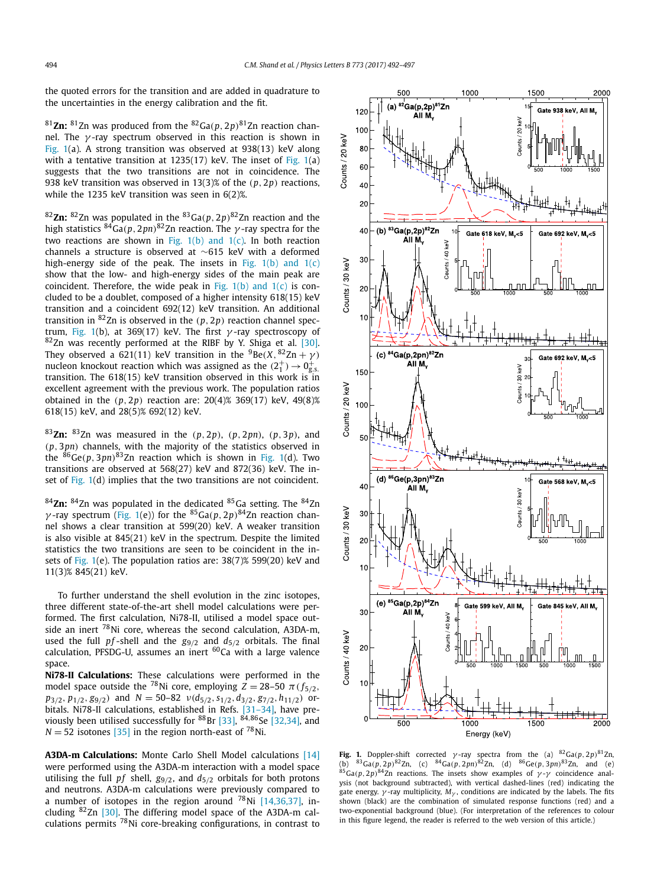the quoted errors for the transition and are added in quadrature to the uncertainties in the energy calibration and the fit.

<sup>81</sup>Zn: <sup>81</sup>Zn was produced from the <sup>82</sup>Ga( $p$ , 2 $p$ )<sup>81</sup>Zn reaction channel. The *γ* -ray spectrum observed in this reaction is shown in Fig. 1(a). A strong transition was observed at 938(13) keV along with a tentative transition at 1235(17) keV. The inset of Fig. 1(a) suggests that the two transitions are not in coincidence. The 938 keV transition was observed in 13(3)% of the *(p,* 2*p)* reactions, while the 1235 keV transition was seen in 6(2)%.

<sup>82</sup>**Zn:** 82Zn was populated in the 83Ga*(p,* 2*p)*82Zn reaction and the high statistics  ${}^{84}Ga(p,2pn)^{82}Zn$  reaction. The  $\gamma$ -ray spectra for the two reactions are shown in Fig.  $1(b)$  and  $1(c)$ . In both reaction channels a structure is observed at ∼615 keV with a deformed high-energy side of the peak. The insets in Fig.  $1(b)$  and  $1(c)$ show that the low- and high-energy sides of the main peak are coincident. Therefore, the wide peak in Fig.  $1(b)$  and  $1(c)$  is concluded to be a doublet, composed of a higher intensity 618(15) keV transition and a coincident 692(12) keV transition. An additional transition in 82Zn is observed in the *(p,* 2*p)* reaction channel spectrum, Fig. 1(b), at 369(17) keV. The first *γ* -ray spectroscopy of  $82$ Zn was recently performed at the RIBF by Y. Shiga et al. [\[30\].](#page-5-0) They observed a 621(11) keV transition in the  ${}^{9}$ Be(*X*,  ${}^{82}$ Zn +  $\gamma$ ) nucleon knockout reaction which was assigned as the  $(2^+_1) \rightarrow 0^+_{\rm g.s.}$ transition. The 618(15) keV transition observed in this work is in excellent agreement with the previous work. The population ratios obtained in the *(p,* 2*p)* reaction are: 20(4)% 369(17) keV, 49(8)% 618(15) keV, and 28(5)% 692(12) keV.

<sup>83</sup>**Zn:** 83Zn was measured in the *(p,* 2*p)*, *(p,* 2*pn)*, *(p,* 3*p)*, and *(p,* 3*pn)* channels, with the majority of the statistics observed in the  ${}^{86}Ge(p,3pn)^{83}Zn$  reaction which is shown in Fig. 1(d). Two transitions are observed at 568(27) keV and 872(36) keV. The inset of Fig. 1(d) implies that the two transitions are not coincident.

<sup>84</sup>**Zn:** 84Zn was populated in the dedicated 85Ga setting. The 84Zn *γ* -ray spectrum (Fig. 1(e)) for the <sup>85</sup>Ga(*p*, 2*p*)<sup>84</sup>Zn reaction channel shows a clear transition at 599(20) keV. A weaker transition is also visible at 845(21) keV in the spectrum. Despite the limited statistics the two transitions are seen to be coincident in the insets of Fig. 1(e). The population ratios are: 38(7)% 599(20) keV and 11(3)% 845(21) keV.

To further understand the shell evolution in the zinc isotopes, three different state-of-the-art shell model calculations were performed. The first calculation, Ni78-II, utilised a model space outside an inert  $^{78}$ Ni core, whereas the second calculation, A3DA-m, used the full  $pf$ -shell and the  $g_{9/2}$  and  $d_{5/2}$  orbitals. The final calculation, PFSDG-U, assumes an inert  $^{60}$ Ca with a large valence space.

**Ni78-II Calculations:** These calculations were performed in the model space outside the <sup>78</sup>Ni core, employing  $Z = 28-50 \pi (f_{5/2},$  $p_{3/2}, p_{1/2}, g_{9/2})$  and  $N = 50-82 \nu(d_{5/2}, s_{1/2}, d_{3/2}, g_{7/2}, h_{11/2})$  orbitals. Ni78-II calculations, established in Refs. [\[31–34\],](#page-5-0) have pre-viously been utilised successfully for <sup>88</sup>Br [\[33\],](#page-5-0) <sup>84,86</sup>Se [\[32,34\],](#page-5-0) and  $N = 52$  isotones [\[35\]](#page-5-0) in the region north-east of <sup>78</sup>Ni.

**A3DA-m Calculations:** Monte Carlo Shell Model calculations [\[14\]](#page-5-0) were performed using the A3DA-m interaction with a model space utilising the full  $pf$  shell,  $g_{9/2}$ , and  $d_{5/2}$  orbitals for both protons and neutrons. A3DA-m calculations were previously compared to a number of isotopes in the region around  $^{78}$ Ni [\[14,36,37\],](#page-5-0) including  $82\text{Zn}$  [\[30\].](#page-5-0) The differing model space of the A3DA-m calculations permits 78Ni core-breaking configurations, in contrast to



**Fig. 1.** Doppler-shift corrected *γ*-ray spectra from the (a)  ${}^{82}Ga(p,2p)^{81}Zn$ , (b) 83Ga*(p,* 2*p)*82Zn, (c) 84Ga*(p,* 2*pn)*82Zn, (d) 86Ge*(p,* 3*pn)*83Zn, and (e)  $85$ Ga( $p$ , 2 $p$ ) $84$ Zn reactions. The insets show examples of  $\gamma$ - $\gamma$  coincidence analysis (not background subtracted), with vertical dashed-lines (red) indicating the gate energy.  $\gamma$ -ray multiplicity,  $M_{\gamma}$ , conditions are indicated by the labels. The fits shown (black) are the combination of simulated response functions (red) and a two-exponential background (blue). (For interpretation of the references to colour in this figure legend, the reader is referred to the web version of this article.)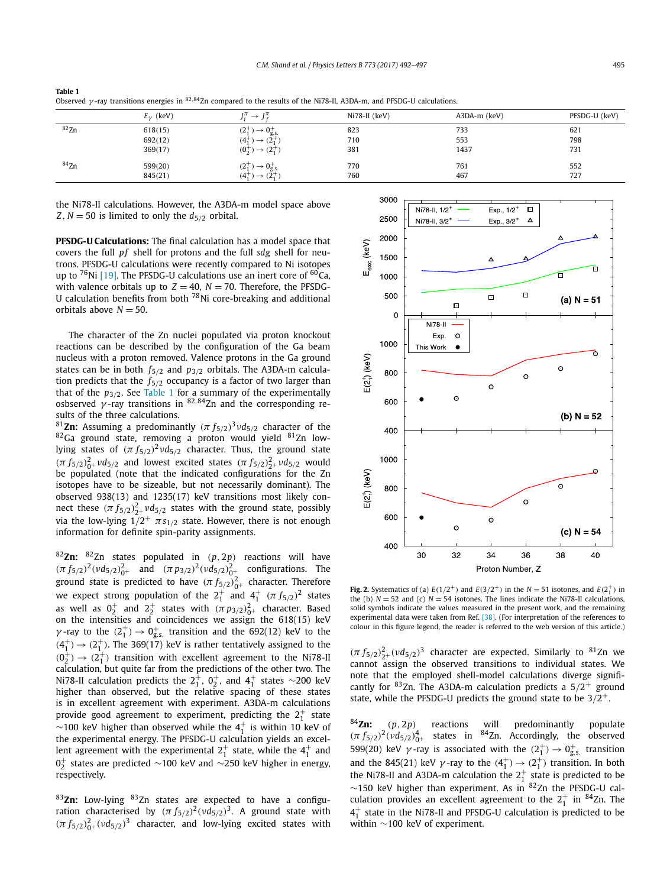|             | $E_v$ (keV) | $\mu \rightarrow I^{\pi}$<br>ιπ             | Ni78-II (keV) | A3DA-m (keV) | PFSDG-U (keV) |
|-------------|-------------|---------------------------------------------|---------------|--------------|---------------|
| ${}^{82}Zn$ | 618(15)     | $(2^+_{1})$<br>$\rightarrow 0^+$            | 823           | 733          | 621           |
|             | 692(12)     | ۱2.<br>ι4,<br>—                             | 710           | 553          | 798           |
|             | 369(17)     | (0, 0)<br>$\rightarrow$ (2 <sup>+</sup> )   | 381           | 1437         | 731           |
| $84$ Zn     | 599(20)     | $(2^+_{1})$<br>$\rightarrow 0^+$            | 770           | 761          | 552           |
|             | 845(21)     | $(4^{+}_{1})$<br>$(2^{+})$<br>$\rightarrow$ | 760           | 467          | 727           |

<span id="page-3-0"></span>**Table 1** Observed *γ* -ray transitions energies in <sup>82</sup>*,*84Zn compared to the results of the Ni78-II, A3DA-m, and PFSDG-U calculations.

the Ni78-II calculations. However, the A3DA-m model space above *Z*, *N* = 50 is limited to only the  $d_{5/2}$  orbital.

**PFSDG-U Calculations:** The final calculation has a model space that covers the full *pf* shell for protons and the full *sdg* shell for neutrons. PFSDG-U calculations were recently compared to Ni isotopes up to  $^{76}$ Ni [\[19\].](#page-5-0) The PFSDG-U calculations use an inert core of  $^{60}$ Ca, with valence orbitals up to  $Z = 40$ ,  $N = 70$ . Therefore, the PFSDG-U calculation benefits from both 78Ni core-breaking and additional orbitals above  $N = 50$ .

The character of the Zn nuclei populated via proton knockout reactions can be described by the configuration of the Ga beam nucleus with a proton removed. Valence protons in the Ga ground states can be in both *f*5*/*<sup>2</sup> and *p*3*/*<sup>2</sup> orbitals. The A3DA-m calculation predicts that the *f*5*/*<sup>2</sup> occupancy is a factor of two larger than that of the  $p_{3/2}$ . See Table 1 for a summary of the experimentally osbserved *γ* -ray transitions in <sup>82</sup>*,*84Zn and the corresponding results of the three calculations.

<sup>81</sup>**Zn:** Assuming a predominantly  $(\pi f_{5/2})^3 v d_{5/2}$  character of the  $82$ Ga ground state, removing a proton would yield  $81$ Zn lowlying states of  $(\pi f_{5/2})^2 v d_{5/2}$  character. Thus, the ground state *(π*  $f_{5/2}$ )<sup>2</sup><sub>0</sub>+ *νd*<sub>5/2</sub> and lowest excited states  $(π f_{5/2})$ <sup>2</sup><sub>2</sub>+ *νd*<sub>5/2</sub> would be populated (note that the indicated configurations for the Zn isotopes have to be sizeable, but not necessarily dominant). The observed 938(13) and 1235(17) keV transitions most likely connect these  $(\pi f_{5/2})^2_{2^+}$   $\nu d_{5/2}$  states with the ground state, possibly via the low-lying  $1/2^+$   $\pi s_{1/2}$  state. However, there is not enough information for definite spin-parity assignments.

<sup>82</sup>**Zn:** 82Zn states populated in *(p,* 2*p)* reactions will have *(π*  $f_{5/2}$ )<sup>2</sup>( $v d_{5/2}$ )<sub>0</sub><sup>2</sup>+ and  $(π p_{3/2})$ <sup>2</sup>( $v d_{5/2}$ )<sub>0</sub><sup>2</sup>+ configurations. The ground state is predicted to have  $(\pi f_{5/2})_{0^+}^2$  character. Therefore we expect strong population of the  $2^+_1$  and  $4^+_1$   $(\pi f_{5/2})^2$  states as well as  $0^+_2$  and  $2^+_2$  states with  $(\pi p_{3/2})^2_{0^+}$  character. Based on the intensities and coincidences we assign the 618(15) keV *γ*-ray to the  $(2<sup>+</sup><sub>1</sub>) \rightarrow 0<sup>+</sup><sub>g.s.</sub>$  transition and the 692(12) keV to the  $(4<sup>+</sup><sub>1</sub>) \rightarrow (2<sup>+</sup><sub>1</sub>)$ . The 369(17) keV is rather tentatively assigned to the  $(0^+_2) \rightarrow (2^+_1)$  transition with excellent agreement to the Ni78-II calculation, but quite far from the predictions of the other two. The Ni78-II calculation predicts the  $2^+_1$ ,  $0^+_2$ , and  $4^+_1$  states  $\sim$ 200 keV higher than observed, but the relative spacing of these states is in excellent agreement with experiment. A3DA-m calculations provide good agreement to experiment, predicting the  $2^+_1$  state  $\sim$ 100 keV higher than observed while the  $4^+_1$  is within 10 keV of the experimental energy. The PFSDG-U calculation yields an excellent agreement with the experimental  $2^+_1$  state, while the  $4^+_1$  and  $0^{+}_{2}$  states are predicted  $\sim$ 100 keV and  $\sim$ 250 keV higher in energy, respectively.

<sup>83</sup>**Zn:** Low-lying 83Zn states are expected to have a configuration characterised by  $(\pi f_{5/2})^2 (v d_{5/2})^3$ . A ground state with  $(\pi f_{5/2})^2_{0+}$   $(\nu d_{5/2})^3$  character, and low-lying excited states with



**Fig. 2.** Systematics of (a)  $E(1/2^+)$  and  $E(3/2^+)$  in the  $N = 51$  isotones, and  $E(2^+_1)$  in the (b)  $N = 52$  and (c)  $N = 54$  isotones. The lines indicate the Ni78-II calculations, solid symbols indicate the values measured in the present work, and the remaining experimental data were taken from Ref. [\[38\].](#page-5-0) (For interpretation of the references to colour in this figure legend, the reader is referred to the web version of this article.)

 $(\pi f_{5/2})^2_{2+} (v d_{5/2})^3$  character are expected. Similarly to <sup>81</sup>Zn we cannot assign the observed transitions to individual states. We note that the employed shell-model calculations diverge significantly for 83Zn. The A3DA-m calculation predicts a 5*/*2<sup>+</sup> ground state, while the PFSDG-U predicts the ground state to be 3*/*2+.

<sup>84</sup>**Zn:** *(p,* 2*p)* reactions will predominantly populate  $(\pi f_{5/2})^2 (v d_{5/2})_{0^+}^4$  states in <sup>84</sup>Zn. Accordingly, the observed 599(20) keV  $\gamma$ -ray is associated with the  $(2^+_1) \rightarrow 0^+_{\text{g.s.}}$  transition and the 845(21) keV  $\gamma$ -ray to the  $(4^+_1) \rightarrow (2^+_1)$  transition. In both the Ni78-II and A3DA-m calculation the  $2^+_1$  state is predicted to be ∼150 keV higher than experiment. As in 82Zn the PFSDG-U calculation provides an excellent agreement to the  $2^+_1$  in  $^{84}$ Zn. The  $4_1^+$  state in the Ni78-II and PFSDG-U calculation is predicted to be within ∼100 keV of experiment.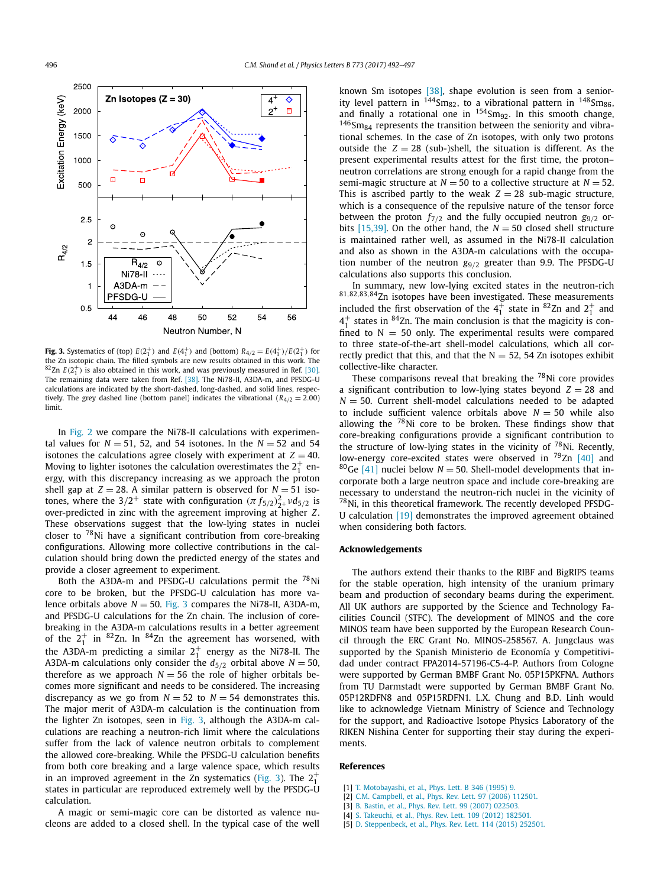<span id="page-4-0"></span>

**Fig. 3.** Systematics of (top)  $E(2_1^+)$  and  $E(4_1^+)$  and (bottom)  $R_{4/2} = E(4_1^+)/E(2_1^+)$  for the Zn isotopic chain. The filled symbols are new results obtained in this work. The  ${}^{82}$ Zn  $E(2_1^+)$  is also obtained in this work, and was previously measured in Ref. [\[30\].](#page-5-0) The remaining data were taken from Ref. [\[38\].](#page-5-0) The Ni78-II, A3DA-m, and PFSDG-U calculations are indicated by the short-dashed, long-dashed, and solid lines, respectively. The grey dashed line (bottom panel) indicates the vibrational (*R*4*/*<sup>2</sup> = 2*.*00) limit.

In [Fig. 2](#page-3-0) we compare the Ni78-II calculations with experimental values for  $N = 51$ , 52, and 54 isotones. In the  $N = 52$  and 54 isotones the calculations agree closely with experiment at  $Z = 40$ . Moving to lighter isotones the calculation overestimates the  $2^{+}_{1}$  energy, with this discrepancy increasing as we approach the proton shell gap at  $Z = 28$ . A similar pattern is observed for  $N = 51$  isotones, where the 3/2<sup>+</sup> state with configuration  $(π f<sub>5/2</sub>)<sup>2</sup><sub>2</sub> + v<sup>2</sup><sub>5/2</sub>$  is over-predicted in zinc with the agreement improving at higher *Z*. These observations suggest that the low-lying states in nuclei closer to  $78$ Ni have a significant contribution from core-breaking configurations. Allowing more collective contributions in the calculation should bring down the predicted energy of the states and provide a closer agreement to experiment.

Both the A3DA-m and PFSDG-U calculations permit the  $^{78}$ Ni core to be broken, but the PFSDG-U calculation has more valence orbitals above  $N = 50$ . Fig. 3 compares the Ni78-II, A3DA-m, and PFSDG-U calculations for the Zn chain. The inclusion of corebreaking in the A3DA-m calculations results in a better agreement of the  $2_1^+$  in  ${}^{82}$ Zn. In  ${}^{84}$ Zn the agreement has worsened, with the A3DA-m predicting a similar  $2^+_1$  energy as the Ni78-II. The A3DA-m calculations only consider the  $d_{5/2}$  orbital above  $N = 50$ , therefore as we approach  $N = 56$  the role of higher orbitals becomes more significant and needs to be considered. The increasing discrepancy as we go from  $N = 52$  to  $N = 54$  demonstrates this. The major merit of A3DA-m calculation is the continuation from the lighter Zn isotopes, seen in Fig. 3, although the A3DA-m calculations are reaching a neutron-rich limit where the calculations suffer from the lack of valence neutron orbitals to complement the allowed core-breaking. While the PFSDG-U calculation benefits from both core breaking and a large valence space, which results in an improved agreement in the Zn systematics (Fig. 3). The  $2^+_1$ states in particular are reproduced extremely well by the PFSDG-U calculation.

A magic or semi-magic core can be distorted as valence nucleons are added to a closed shell. In the typical case of the well known Sm isotopes [\[38\],](#page-5-0) shape evolution is seen from a seniority level pattern in  $144S$ m<sub>82</sub>, to a vibrational pattern in  $148S$ m<sub>86</sub>, and finally a rotational one in  $154$ Sm<sub>92</sub>. In this smooth change,  $146$ Sm<sub>84</sub> represents the transition between the seniority and vibrational schemes. In the case of Zn isotopes, with only two protons outside the  $Z = 28$  (sub-)shell, the situation is different. As the present experimental results attest for the first time, the proton– neutron correlations are strong enough for a rapid change from the semi-magic structure at  $N = 50$  to a collective structure at  $N = 52$ . This is ascribed partly to the weak  $Z = 28$  sub-magic structure, which is a consequence of the repulsive nature of the tensor force between the proton  $f_{7/2}$  and the fully occupied neutron  $g_{9/2}$  orbits  $[15,39]$ . On the other hand, the  $N = 50$  closed shell structure is maintained rather well, as assumed in the Ni78-II calculation and also as shown in the A3DA-m calculations with the occupation number of the neutron *g*9*/*<sup>2</sup> greater than 9.9. The PFSDG-U calculations also supports this conclusion.

In summary, new low-lying excited states in the neutron-rich <sup>81</sup>*,*82*,*83*,*84Zn isotopes have been investigated. These measurements included the first observation of the  $4^+_1$  state in  ${}^{82}$ Zn and  $2^+_1$  and  $4<sup>+</sup><sub>1</sub>$  states in <sup>84</sup>Zn. The main conclusion is that the magicity is confined to  $N = 50$  only. The experimental results were compared to three state-of-the-art shell-model calculations, which all correctly predict that this, and that the  $N = 52$ , 54 Zn isotopes exhibit collective-like character.

These comparisons reveal that breaking the  $^{78}$ Ni core provides a significant contribution to low-lying states beyond  $Z = 28$  and  $N = 50$ . Current shell-model calculations needed to be adapted to include sufficient valence orbitals above  $N = 50$  while also allowing the  $^{78}$ Ni core to be broken. These findings show that core-breaking configurations provide a significant contribution to the structure of low-lying states in the vicinity of  $^{78}$ Ni. Recently, low-energy core-excited states were observed in <sup>79</sup>Zn [\[40\]](#page-5-0) and <sup>80</sup>Ge [\[41\]](#page-5-0) nuclei below  $N = 50$ . Shell-model developments that incorporate both a large neutron space and include core-breaking are necessary to understand the neutron-rich nuclei in the vicinity of  $^{78}$ Ni, in this theoretical framework. The recently developed PFSDG-U calculation [\[19\]](#page-5-0) demonstrates the improved agreement obtained when considering both factors.

## **Acknowledgements**

The authors extend their thanks to the RIBF and BigRIPS teams for the stable operation, high intensity of the uranium primary beam and production of secondary beams during the experiment. All UK authors are supported by the Science and Technology Facilities Council (STFC). The development of MINOS and the core MINOS team have been supported by the European Research Council through the ERC Grant No. MINOS-258567. A. Jungclaus was supported by the Spanish Ministerio de Economía y Competitividad under contract FPA2014-57196-C5-4-P. Authors from Cologne were supported by German BMBF Grant No. 05P15PKFNA. Authors from TU Darmstadt were supported by German BMBF Grant No. 05P12RDFN8 and 05P15RDFN1. L.X. Chung and B.D. Linh would like to acknowledge Vietnam Ministry of Science and Technology for the support, and Radioactive Isotope Physics Laboratory of the RIKEN Nishina Center for supporting their stay during the experiments.

### **References**

- [1] T. [Motobayashi,](http://refhub.elsevier.com/S0370-2693(17)30699-8/bib4D6F746F6261796173686931393935s1) et al., Phys. Lett. B 346 (1995) 9.
- [2] C.M. [Campbell,](http://refhub.elsevier.com/S0370-2693(17)30699-8/bib43616D7062656C6C32303036s1) et al., Phys. Rev. Lett. 97 (2006) 112501.
- [3] B. Bastin, et al., Phys. Rev. Lett. 99 (2007) [022503.](http://refhub.elsevier.com/S0370-2693(17)30699-8/bib42617374696E32303037s1)
- [4] S. [Takeuchi,](http://refhub.elsevier.com/S0370-2693(17)30699-8/bib54616B657563686932303132s1) et al., Phys. Rev. Lett. 109 (2012) 182501.
- [5] D. [Steppenbeck,](http://refhub.elsevier.com/S0370-2693(17)30699-8/bib5374657070656E6265636B32303135s1) et al., Phys. Rev. Lett. 114 (2015) 252501.